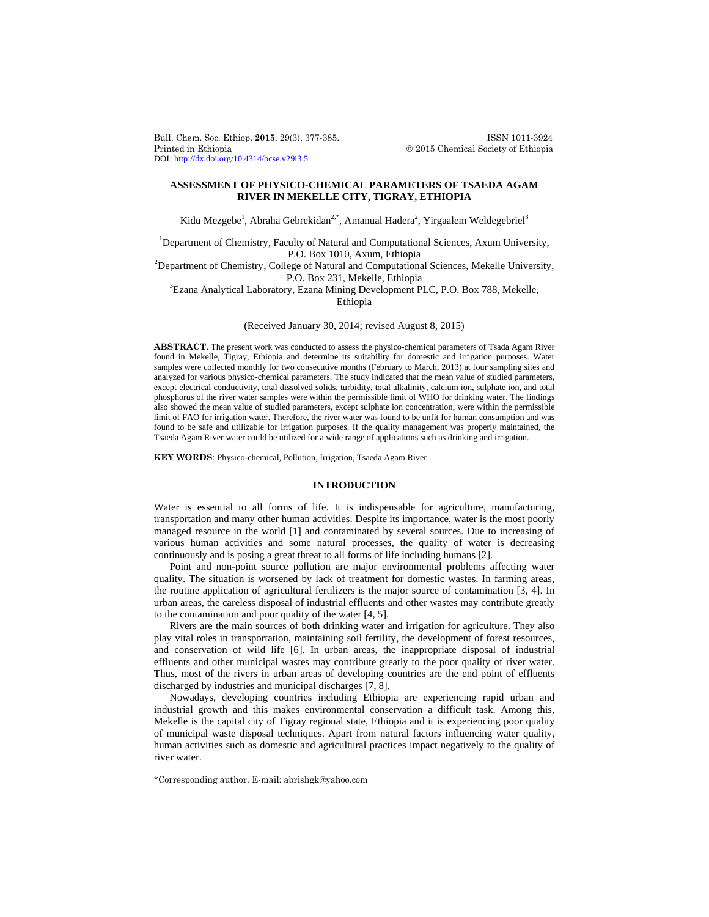Bull. Chem. Soc. Ethiop. **2015**, 29(3), 377-385. **ISSN 1011-3924** Printed in Ethiopia 2015 Chemical Society of Ethiopia DOI: http://dx.doi.org/10.4314/bcse.v29i3.5

# **ASSESSMENT OF PHYSICO-CHEMICAL PARAMETERS OF TSAEDA AGAM RIVER IN MEKELLE CITY, TIGRAY, ETHIOPIA**

Kidu Mezgebe<sup>1</sup>, Abraha Gebrekidan<sup>2,\*</sup>, Amanual Hadera<sup>2</sup>, Yirgaalem Weldegebriel<sup>3</sup>

<sup>1</sup>Department of Chemistry, Faculty of Natural and Computational Sciences, Axum University, P.O. Box 1010, Axum, Ethiopia<br><sup>2</sup>Department of Chemistry, College of Natural and Computational Sciences, Mekelle University,

P.O. Box 231, Mekelle, Ethiopia

Ezana Analytical Laboratory, Ezana Mining Development PLC, P.O. Box 788, Mekelle, Ethiopia

(Received January 30, 2014; revised August 8, 2015)

**ABSTRACT**. The present work was conducted to assess the physico-chemical parameters of Tsada Agam River found in Mekelle, Tigray, Ethiopia and determine its suitability for domestic and irrigation purposes. Water samples were collected monthly for two consecutive months (February to March, 2013) at four sampling sites and analyzed for various physico-chemical parameters. The study indicated that the mean value of studied parameters, except electrical conductivity, total dissolved solids, turbidity, total alkalinity, calcium ion, sulphate ion, and total phosphorus of the river water samples were within the permissible limit of WHO for drinking water. The findings also showed the mean value of studied parameters, except sulphate ion concentration, were within the permissible limit of FAO for irrigation water. Therefore, the river water was found to be unfit for human consumption and was found to be safe and utilizable for irrigation purposes. If the quality management was properly maintained, the Tsaeda Agam River water could be utilized for a wide range of applications such as drinking and irrigation.

**KEY WORDS**: Physico-chemical, Pollution, Irrigation, Tsaeda Agam River

## **INTRODUCTION**

Water is essential to all forms of life. It is indispensable for agriculture, manufacturing, transportation and many other human activities. Despite its importance, water is the most poorly managed resource in the world [1] and contaminated by several sources. Due to increasing of various human activities and some natural processes, the quality of water is decreasing continuously and is posing a great threat to all forms of life including humans [2].

Point and non-point source pollution are major environmental problems affecting water quality. The situation is worsened by lack of treatment for domestic wastes. In farming areas, the routine application of agricultural fertilizers is the major source of contamination [3, 4]. In urban areas, the careless disposal of industrial effluents and other wastes may contribute greatly to the contamination and poor quality of the water [4, 5].

Rivers are the main sources of both drinking water and irrigation for agriculture. They also play vital roles in transportation, maintaining soil fertility, the development of forest resources, and conservation of wild life [6]. In urban areas, the inappropriate disposal of industrial effluents and other municipal wastes may contribute greatly to the poor quality of river water. Thus, most of the rivers in urban areas of developing countries are the end point of effluents discharged by industries and municipal discharges [7, 8].

Nowadays, developing countries including Ethiopia are experiencing rapid urban and industrial growth and this makes environmental conservation a difficult task. Among this, Mekelle is the capital city of Tigray regional state, Ethiopia and it is experiencing poor quality of municipal waste disposal techniques. Apart from natural factors influencing water quality, human activities such as domestic and agricultural practices impact negatively to the quality of river water.

 $\overline{\phantom{a}}$ 

<sup>\*</sup>Corresponding author. E-mail: abrishgk@yahoo.com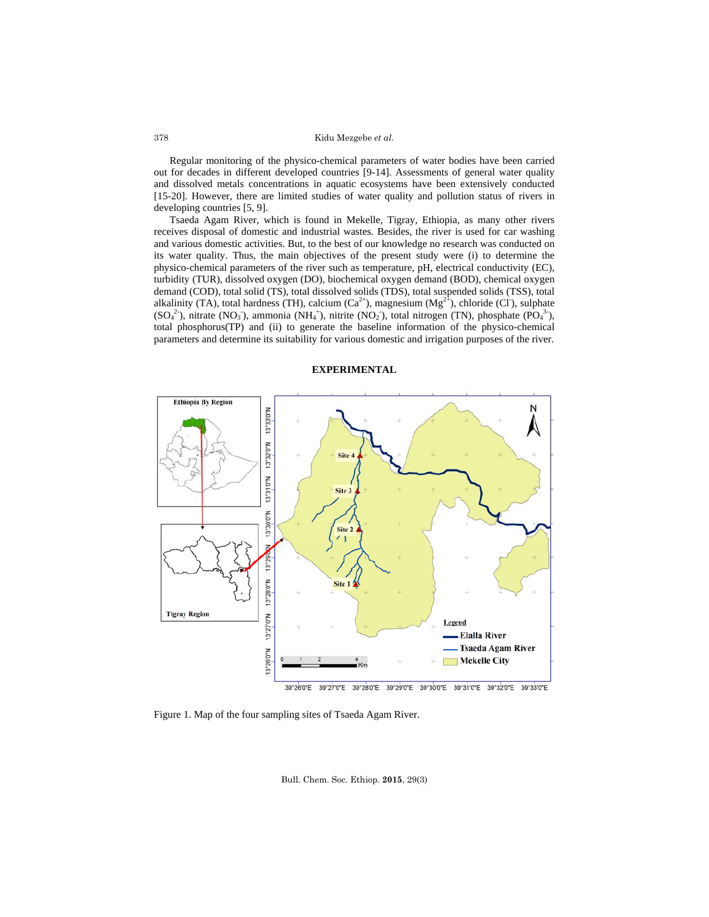Regular monitoring of the physico-chemical parameters of water bodies have been carried out for decades in different developed countries [9-14]. Assessments of general water quality and dissolved metals concentrations in aquatic ecosystems have been extensively conducted [15-20]. However, there are limited studies of water quality and pollution status of rivers in developing countries [5, 9].

Tsaeda Agam River, which is found in Mekelle, Tigray, Ethiopia, as many other rivers receives disposal of domestic and industrial wastes. Besides, the river is used for car washing and various domestic activities. But, to the best of our knowledge no research was conducted on its water quality. Thus, the main objectives of the present study were (i) to determine the physico-chemical parameters of the river such as temperature, pH, electrical conductivity (EC), turbidity (TUR), dissolved oxygen (DO), biochemical oxygen demand (BOD), chemical oxygen demand (COD), total solid (TS), total dissolved solids (TDS), total suspended solids (TSS), total alkalinity (TA), total hardness (TH), calcium  $(Ca^{2+})$ , magnesium  $(Mg^{2+})$ , chloride (CI), sulphate  $(SO_4^2)$ , nitrate (NO<sub>3</sub>), ammonia (NH<sub>4</sub><sup>+</sup>), nitrite (NO<sub>2</sub>), total nitrogen (TN), phosphate (PO<sub>4</sub><sup>3</sup>), total phosphorus(TP) and (ii) to generate the baseline information of the physico-chemical parameters and determine its suitability for various domestic and irrigation purposes of the river.

## **EXPERIMENTAL**



Figure 1. Map of the four sampling sites of Tsaeda Agam River.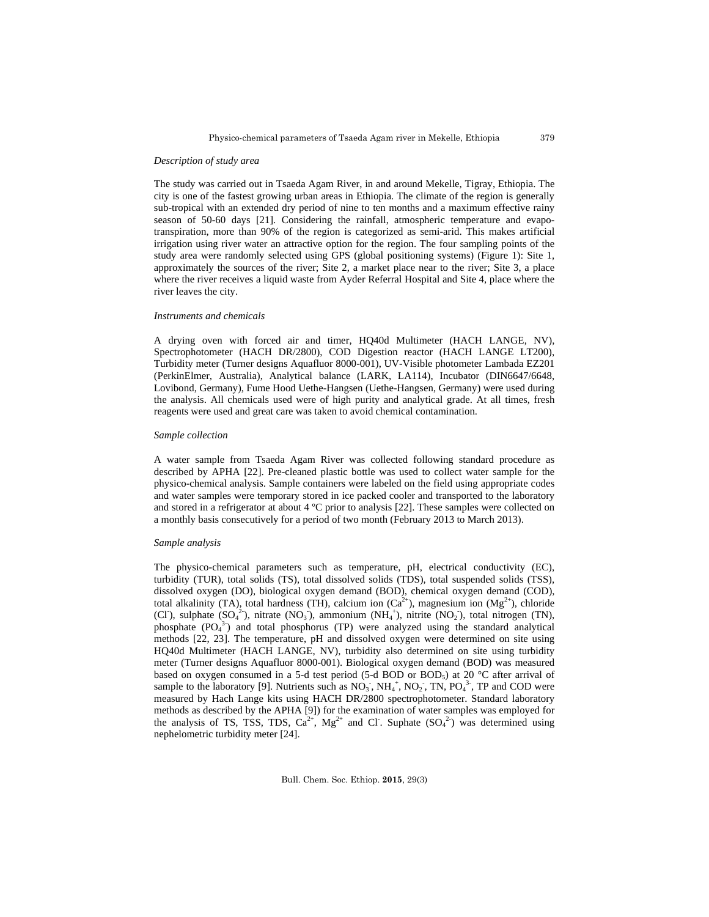#### *Description of study area*

The study was carried out in Tsaeda Agam River, in and around Mekelle, Tigray, Ethiopia. The city is one of the fastest growing urban areas in Ethiopia. The climate of the region is generally sub-tropical with an extended dry period of nine to ten months and a maximum effective rainy season of 50-60 days [21]. Considering the rainfall, atmospheric temperature and evapotranspiration, more than 90% of the region is categorized as semi-arid. This makes artificial irrigation using river water an attractive option for the region. The four sampling points of the study area were randomly selected using GPS (global positioning systems) (Figure 1): Site 1, approximately the sources of the river; Site 2, a market place near to the river; Site 3, a place where the river receives a liquid waste from Ayder Referral Hospital and Site 4, place where the river leaves the city.

### *Instruments and chemicals*

A drying oven with forced air and timer, HQ40d Multimeter (HACH LANGE, NV), Spectrophotometer (HACH DR/2800), COD Digestion reactor (HACH LANGE LT200), Turbidity meter (Turner designs Aquafluor 8000-001), UV-Visible photometer Lambada EZ201 (PerkinElmer, Australia), Analytical balance (LARK, LA114), Incubator (DIN6647/6648, Lovibond, Germany), Fume Hood Uethe-Hangsen (Uethe-Hangsen, Germany) were used during the analysis. All chemicals used were of high purity and analytical grade. At all times, fresh reagents were used and great care was taken to avoid chemical contamination.

## *Sample collection*

A water sample from Tsaeda Agam River was collected following standard procedure as described by APHA [22]. Pre-cleaned plastic bottle was used to collect water sample for the physico-chemical analysis. Sample containers were labeled on the field using appropriate codes and water samples were temporary stored in ice packed cooler and transported to the laboratory and stored in a refrigerator at about 4 ºC prior to analysis [22]. These samples were collected on a monthly basis consecutively for a period of two month (February 2013 to March 2013).

#### *Sample analysis*

The physico-chemical parameters such as temperature, pH, electrical conductivity (EC), turbidity (TUR), total solids (TS), total dissolved solids (TDS), total suspended solids (TSS), dissolved oxygen (DO), biological oxygen demand (BOD), chemical oxygen demand (COD), total alkalinity (TA), total hardness (TH), calcium ion  $(Ca^{2+})$ , magnesium ion  $(Mg^{2+})$ , chloride (CI), sulphate  $(SO_4^2)$ , nitrate  $(NO_3)$ , ammonium  $(NH_4^+)$ , nitrite  $(NO_2)$ , total nitrogen (TN), phosphate  $(PO<sub>4</sub><sup>3</sup>)$  and total phosphorus (TP) were analyzed using the standard analytical methods [22, 23]. The temperature, pH and dissolved oxygen were determined on site using HQ40d Multimeter (HACH LANGE, NV), turbidity also determined on site using turbidity meter (Turner designs Aquafluor 8000-001). Biological oxygen demand (BOD) was measured based on oxygen consumed in a 5-d test period (5-d BOD or BOD<sub>5</sub>) at 20 °C after arrival of sample to the laboratory [9]. Nutrients such as  $NO_3$ ,  $NH_4^+$ ,  $NO_2$ , TN,  $PO_4^3$ , TP and COD were measured by Hach Lange kits using HACH DR/2800 spectrophotometer. Standard laboratory methods as described by the APHA [9]) for the examination of water samples was employed for the analysis of TS, TSS, TDS,  $Ca^{2+}$ , Mg<sup>2+</sup> and Cl. Suphate  $(SO<sub>4</sub><sup>2</sup>)$  was determined using nephelometric turbidity meter [24].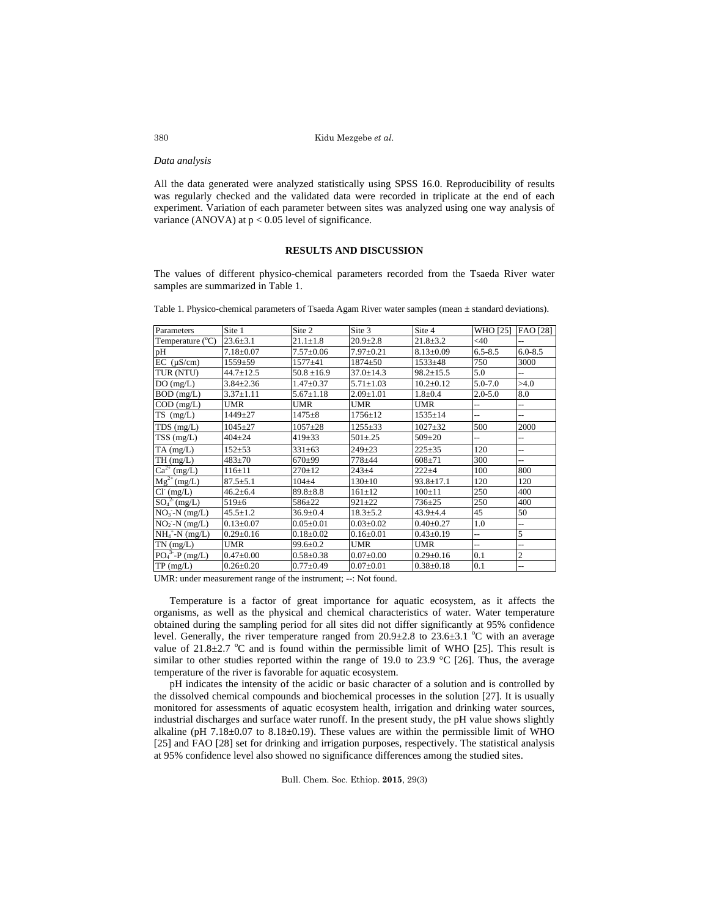### *Data analysis*

All the data generated were analyzed statistically using SPSS 16.0. Reproducibility of results was regularly checked and the validated data were recorded in triplicate at the end of each experiment. Variation of each parameter between sites was analyzed using one way analysis of variance (ANOVA) at  $p < 0.05$  level of significance.

# **RESULTS AND DISCUSSION**

The values of different physico-chemical parameters recorded from the Tsaeda River water samples are summarized in Table 1.

Table 1. Physico-chemical parameters of Tsaeda Agam River water samples (mean ± standard deviations).

| Parameters                | Site 1          | Site 2          | Site 3          | Site 4          | WHO [25]    | FAO [28]       |
|---------------------------|-----------------|-----------------|-----------------|-----------------|-------------|----------------|
| Temperature $(^{\circ}C)$ | $23.6 \pm 3.1$  | $21.1 \pm 1.8$  | $20.9 \pm 2.8$  | $21.8 \pm 3.2$  | <40         |                |
| pH                        | $7.18 \pm 0.07$ | $7.57 \pm 0.06$ | $7.97 \pm 0.21$ | $8.13 \pm 0.09$ | $6.5 - 8.5$ | $6.0 - 8.5$    |
| $EC$ ( $\mu$ S/cm)        | $1559 + 59$     | $1577 + 41$     | $1874 + 50$     | $1533 + 48$     | 750         | 3000           |
| TUR (NTU)                 | $44.7 \pm 12.5$ | $50.8 \pm 16.9$ | $37.0 \pm 14.3$ | $98.2 \pm 15.5$ | 5.0         | $\overline{a}$ |
| DO(mg/L)                  | $3.84 \pm 2.36$ | $1.47 \pm 0.37$ | $5.71 \pm 1.03$ | $10.2 \pm 0.12$ | $5.0 - 7.0$ | >4.0           |
| BOD (mg/L)                | $3.37 \pm 1.11$ | $5.67 \pm 1.18$ | $2.09 \pm 1.01$ | $1.8 + 0.4$     | $2.0 - 5.0$ | 8.0            |
| $COD$ (mg/L)              | <b>UMR</b>      | <b>UMR</b>      | <b>UMR</b>      | <b>UMR</b>      |             | --             |
| $TS$ (mg/L)               | 1449±27         | $1475 + 8$      | $1756 \pm 12$   | $1535 \pm 14$   | ш,          | ш,             |
| $TDS$ (mg/L)              | $1045 + 27$     | $1057 + 28$     | $1255 + 33$     | $1027 + 32$     | 500         | 2000           |
| $TSS$ (mg/L)              | $404 \pm 24$    | $419 \pm 33$    | $501 \pm 0.25$  | $509 + 20$      |             | --             |
| $TA$ (mg/L)               | $152 + 53$      | $331 \pm 63$    | $249 + 23$      | $225 + 35$      | 120         | $\overline{a}$ |
| TH(mg/L)                  | $483 + 70$      | $670+99$        | 778±44          | $608 + 71$      | 300         | Ц,             |
| $Ca^{2+}$ (mg/L)          | $116 \pm 11$    | $270+12$        | $243 + 4$       | $222+4$         | 100         | 800            |
| $Mg^{2+} (mg/L)$          | $87.5 \pm 5.1$  | $104 + 4$       | $130 \pm 10$    | $93.8 \pm 17.1$ | 120         | 120            |
| $Cl^{(mg/L)}$             | $46.2 \pm 6.4$  | $89.8 \pm 8.8$  | $161 \pm 12$    | $100+11$        | 250         | 400            |
| $SO_4^2$ (mg/L)           | $519+6$         | 586±22          | $921 + 22$      | $736 + 25$      | 250         | 400            |
| $NO_3-N$ (mg/L)           | $45.5 \pm 1.2$  | $36.9 \pm 0.4$  | $18.3 \pm 5.2$  | $43.9 + 4.4$    | 45          | 50             |
| $NO2 - N (mg/L)$          | $0.13 \pm 0.07$ | $0.05 \pm 0.01$ | $0.03 \pm 0.02$ | $0.40 \pm 0.27$ | 1.0         | $\overline{a}$ |
| $NH_4^+$ -N (mg/L)        | $0.29 \pm 0.16$ | $0.18 \pm 0.02$ | $0.16 \pm 0.01$ | $0.43 \pm 0.19$ | ш,          | 5              |
| $TN$ (mg/L)               | <b>UMR</b>      | $99.6 \pm 0.2$  | <b>UMR</b>      | <b>UMR</b>      |             | --             |
| $PO_4^3$ -P (mg/L)        | $0.47 + 0.00$   | $0.58 + 0.38$   | $0.07 \pm 0.00$ | $0.29 \pm 0.16$ | 0.1         | $\overline{c}$ |
| TP(mg/L)                  | $0.26 \pm 0.20$ | $0.77 + 0.49$   | $0.07 \pm 0.01$ | $0.38 + 0.18$   | 0.1         |                |

UMR: under measurement range of the instrument; --: Not found.

 Temperature is a factor of great importance for aquatic ecosystem, as it affects the organisms, as well as the physical and chemical characteristics of water. Water temperature obtained during the sampling period for all sites did not differ significantly at 95% confidence level. Generally, the river temperature ranged from  $20.9 \pm 2.8$  to  $23.6 \pm 3.1$  °C with an average value of  $21.8 \pm 2.7$  °C and is found within the permissible limit of WHO [25]. This result is similar to other studies reported within the range of 19.0 to 23.9  $^{\circ}$ C [26]. Thus, the average temperature of the river is favorable for aquatic ecosystem.

pH indicates the intensity of the acidic or basic character of a solution and is controlled by the dissolved chemical compounds and biochemical processes in the solution [27]. It is usually monitored for assessments of aquatic ecosystem health, irrigation and drinking water sources, industrial discharges and surface water runoff. In the present study, the pH value shows slightly alkaline (pH  $7.18\pm0.07$  to  $8.18\pm0.19$ ). These values are within the permissible limit of WHO [25] and FAO [28] set for drinking and irrigation purposes, respectively. The statistical analysis at 95% confidence level also showed no significance differences among the studied sites.

Bull. Chem. Soc. Ethiop. **2015**, 29(3)

380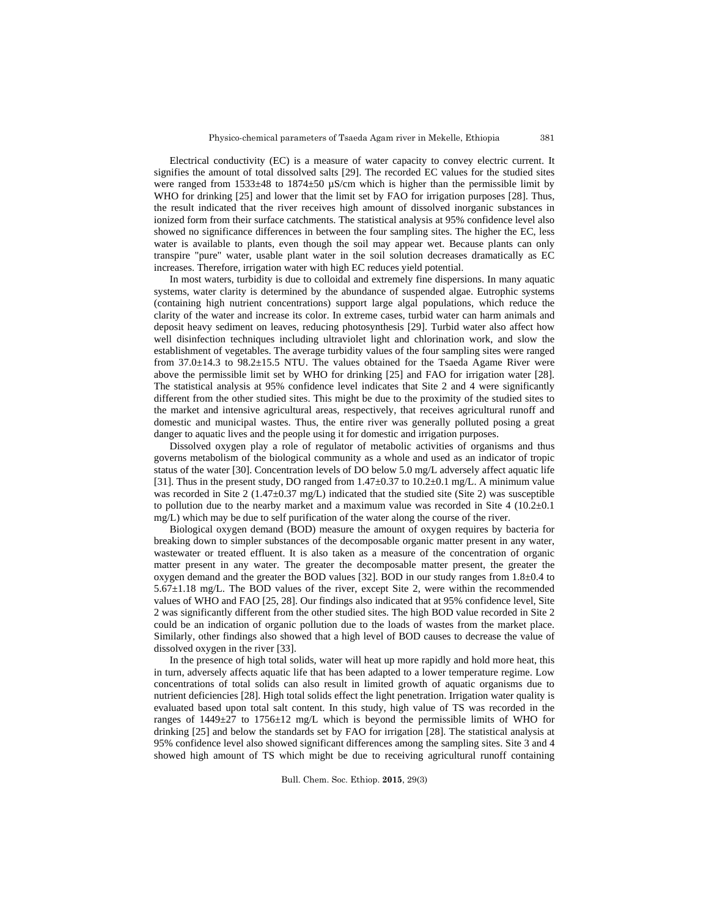Electrical conductivity (EC) is a measure of water capacity to convey electric current. It signifies the amount of total dissolved salts [29]. The recorded EC values for the studied sites were ranged from 1533±48 to 1874±50 µS/cm which is higher than the permissible limit by WHO for drinking [25] and lower that the limit set by FAO for irrigation purposes [28]. Thus, the result indicated that the river receives high amount of dissolved inorganic substances in ionized form from their surface catchments. The statistical analysis at 95% confidence level also showed no significance differences in between the four sampling sites. The higher the EC, less water is available to plants, even though the soil may appear wet. Because plants can only transpire "pure" water, usable plant water in the soil solution decreases dramatically as EC increases. Therefore, irrigation water with high EC reduces yield potential.

In most waters, turbidity is due to colloidal and extremely fine dispersions. In many aquatic systems, water clarity is determined by the abundance of suspended algae. Eutrophic systems (containing high nutrient concentrations) support large algal populations, which reduce the clarity of the water and increase its color. In extreme cases, turbid water can harm animals and deposit heavy sediment on leaves, reducing photosynthesis [29]. Turbid water also affect how well disinfection techniques including ultraviolet light and chlorination work, and slow the establishment of vegetables. The average turbidity values of the four sampling sites were ranged from 37.0±14.3 to 98.2±15.5 NTU. The values obtained for the Tsaeda Agame River were above the permissible limit set by WHO for drinking [25] and FAO for irrigation water [28]. The statistical analysis at 95% confidence level indicates that Site 2 and 4 were significantly different from the other studied sites. This might be due to the proximity of the studied sites to the market and intensive agricultural areas, respectively, that receives agricultural runoff and domestic and municipal wastes. Thus, the entire river was generally polluted posing a great danger to aquatic lives and the people using it for domestic and irrigation purposes.

Dissolved oxygen play a role of regulator of metabolic activities of organisms and thus governs metabolism of the biological community as a whole and used as an indicator of tropic status of the water [30]. Concentration levels of DO below 5.0 mg/L adversely affect aquatic life [31]. Thus in the present study, DO ranged from  $1.47 \pm 0.37$  to  $10.2 \pm 0.1$  mg/L. A minimum value was recorded in Site 2 (1.47±0.37 mg/L) indicated that the studied site (Site 2) was susceptible to pollution due to the nearby market and a maximum value was recorded in Site  $4 (10.2 \pm 0.1)$ mg/L) which may be due to self purification of the water along the course of the river.

Biological oxygen demand (BOD) measure the amount of oxygen requires by bacteria for breaking down to simpler substances of the decomposable organic matter present in any water, wastewater or treated effluent. It is also taken as a measure of the concentration of organic matter present in any water. The greater the decomposable matter present, the greater the oxygen demand and the greater the BOD values [32]. BOD in our study ranges from  $1.8 \pm 0.4$  to  $5.67\pm1.18$  mg/L. The BOD values of the river, except Site 2, were within the recommended values of WHO and FAO [25, 28]. Our findings also indicated that at 95% confidence level, Site 2 was significantly different from the other studied sites. The high BOD value recorded in Site 2 could be an indication of organic pollution due to the loads of wastes from the market place. Similarly, other findings also showed that a high level of BOD causes to decrease the value of dissolved oxygen in the river [33].

In the presence of high total solids, water will heat up more rapidly and hold more heat, this in turn, adversely affects aquatic life that has been adapted to a lower temperature regime. Low concentrations of total solids can also result in limited growth of aquatic organisms due to nutrient deficiencies [28]. High total solids effect the light penetration. Irrigation water quality is evaluated based upon total salt content. In this study, high value of TS was recorded in the ranges of 1449±27 to 1756±12 mg/L which is beyond the permissible limits of WHO for drinking [25] and below the standards set by FAO for irrigation [28]. The statistical analysis at 95% confidence level also showed significant differences among the sampling sites. Site 3 and 4 showed high amount of TS which might be due to receiving agricultural runoff containing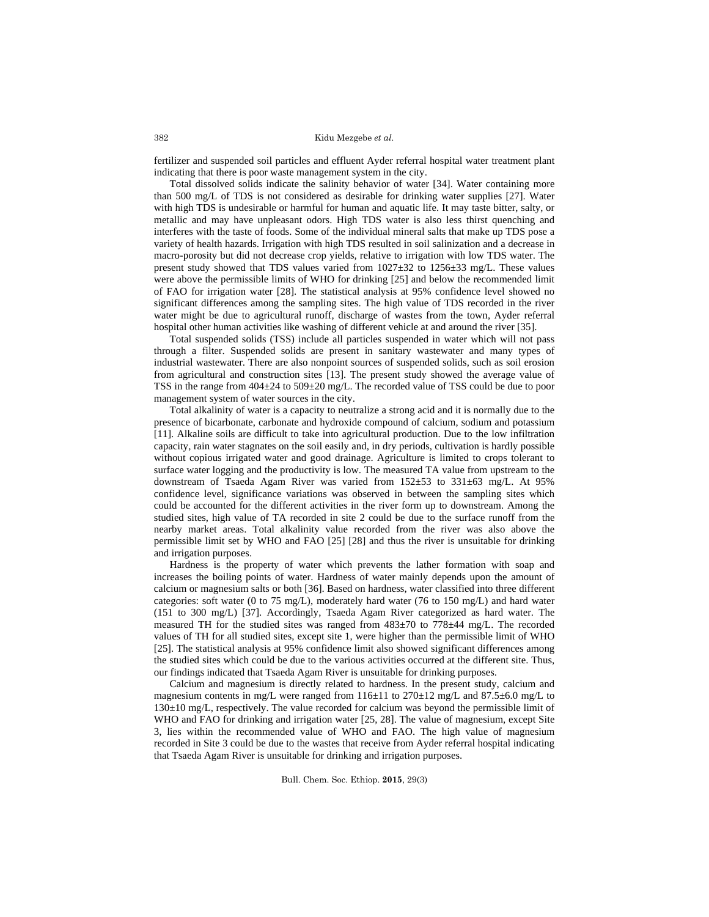fertilizer and suspended soil particles and effluent Ayder referral hospital water treatment plant indicating that there is poor waste management system in the city.

Total dissolved solids indicate the salinity behavior of water [34]. Water containing more than 500 mg/L of TDS is not considered as desirable for drinking water supplies [27]. Water with high TDS is undesirable or harmful for human and aquatic life. It may taste bitter, salty, or metallic and may have unpleasant odors. High TDS water is also less thirst quenching and interferes with the taste of foods. Some of the individual mineral salts that make up TDS pose a variety of health hazards. Irrigation with high TDS resulted in soil salinization and a decrease in macro-porosity but did not decrease crop yields, relative to irrigation with low TDS water. The present study showed that TDS values varied from 1027±32 to 1256±33 mg/L. These values were above the permissible limits of WHO for drinking [25] and below the recommended limit of FAO for irrigation water [28]. The statistical analysis at 95% confidence level showed no significant differences among the sampling sites. The high value of TDS recorded in the river water might be due to agricultural runoff, discharge of wastes from the town, Ayder referral hospital other human activities like washing of different vehicle at and around the river [35].

Total suspended solids (TSS) include all particles suspended in water which will not pass through a filter. Suspended solids are present in sanitary wastewater and many types of industrial wastewater. There are also nonpoint sources of suspended solids, such as soil erosion from agricultural and construction sites [13]. The present study showed the average value of TSS in the range from 404±24 to 509±20 mg/L. The recorded value of TSS could be due to poor management system of water sources in the city.

Total alkalinity of water is a capacity to neutralize a strong acid and it is normally due to the presence of bicarbonate, carbonate and hydroxide compound of calcium, sodium and potassium [11]. Alkaline soils are difficult to take into agricultural production. Due to the low infiltration capacity, rain water stagnates on the soil easily and, in dry periods, cultivation is hardly possible without copious irrigated water and good drainage. Agriculture is limited to crops tolerant to surface water logging and the productivity is low. The measured TA value from upstream to the downstream of Tsaeda Agam River was varied from 152±53 to 331±63 mg/L. At 95% confidence level, significance variations was observed in between the sampling sites which could be accounted for the different activities in the river form up to downstream. Among the studied sites, high value of TA recorded in site 2 could be due to the surface runoff from the nearby market areas. Total alkalinity value recorded from the river was also above the permissible limit set by WHO and FAO [25] [28] and thus the river is unsuitable for drinking and irrigation purposes.

Hardness is the property of water which prevents the lather formation with soap and increases the boiling points of water. Hardness of water mainly depends upon the amount of calcium or magnesium salts or both [36]. Based on hardness, water classified into three different categories: soft water (0 to 75 mg/L), moderately hard water (76 to 150 mg/L) and hard water (151 to 300 mg/L) [37]. Accordingly, Tsaeda Agam River categorized as hard water. The measured TH for the studied sites was ranged from 483±70 to 778±44 mg/L. The recorded values of TH for all studied sites, except site 1, were higher than the permissible limit of WHO [25]. The statistical analysis at 95% confidence limit also showed significant differences among the studied sites which could be due to the various activities occurred at the different site. Thus, our findings indicated that Tsaeda Agam River is unsuitable for drinking purposes.

Calcium and magnesium is directly related to hardness. In the present study, calcium and magnesium contents in mg/L were ranged from  $116\pm11$  to  $270\pm12$  mg/L and  $87.5\pm6.0$  mg/L to 130±10 mg/L, respectively. The value recorded for calcium was beyond the permissible limit of WHO and FAO for drinking and irrigation water [25, 28]. The value of magnesium, except Site 3, lies within the recommended value of WHO and FAO. The high value of magnesium recorded in Site 3 could be due to the wastes that receive from Ayder referral hospital indicating that Tsaeda Agam River is unsuitable for drinking and irrigation purposes.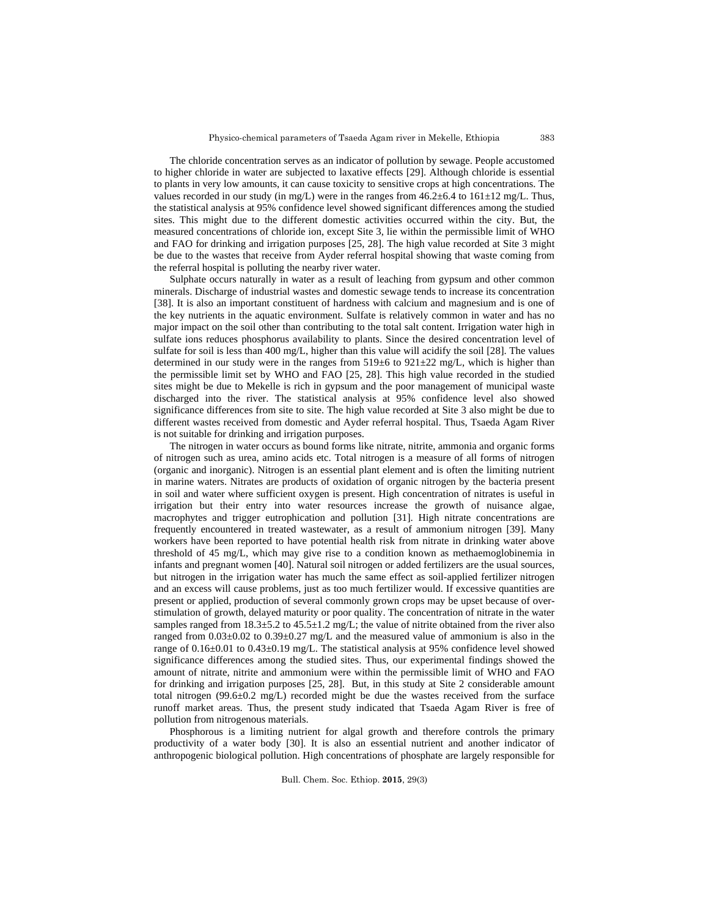The chloride concentration serves as an indicator of pollution by sewage. People accustomed to higher chloride in water are subjected to laxative effects [29]. Although chloride is essential to plants in very low amounts, it can cause toxicity to sensitive crops at high concentrations. The values recorded in our study (in mg/L) were in the ranges from  $46.2\pm6.4$  to  $161\pm12$  mg/L. Thus, the statistical analysis at 95% confidence level showed significant differences among the studied sites. This might due to the different domestic activities occurred within the city. But, the measured concentrations of chloride ion, except Site 3, lie within the permissible limit of WHO and FAO for drinking and irrigation purposes [25, 28]. The high value recorded at Site 3 might be due to the wastes that receive from Ayder referral hospital showing that waste coming from the referral hospital is polluting the nearby river water.

Sulphate occurs naturally in water as a result of leaching from gypsum and other common minerals. Discharge of industrial wastes and domestic sewage tends to increase its concentration [38]. It is also an important constituent of hardness with calcium and magnesium and is one of the key nutrients in the aquatic environment. Sulfate is relatively common in water and has no major impact on the soil other than contributing to the total salt content. Irrigation water high in sulfate ions reduces phosphorus availability to plants. Since the desired concentration level of sulfate for soil is less than 400 mg/L, higher than this value will acidify the soil [28]. The values determined in our study were in the ranges from 519±6 to 921±22 mg/L, which is higher than the permissible limit set by WHO and FAO [25, 28]. This high value recorded in the studied sites might be due to Mekelle is rich in gypsum and the poor management of municipal waste discharged into the river. The statistical analysis at 95% confidence level also showed significance differences from site to site. The high value recorded at Site 3 also might be due to different wastes received from domestic and Ayder referral hospital. Thus, Tsaeda Agam River is not suitable for drinking and irrigation purposes.

The nitrogen in water occurs as bound forms like nitrate, nitrite, ammonia and organic forms of nitrogen such as urea, amino acids etc. Total nitrogen is a measure of all forms of nitrogen (organic and inorganic). Nitrogen is an essential plant element and is often the limiting nutrient in marine waters. Nitrates are products of oxidation of organic nitrogen by the bacteria present in soil and water where sufficient oxygen is present. High concentration of nitrates is useful in irrigation but their entry into water resources increase the growth of nuisance algae, macrophytes and trigger eutrophication and pollution [31]. High nitrate concentrations are frequently encountered in treated wastewater, as a result of ammonium nitrogen [39]. Many workers have been reported to have potential health risk from nitrate in drinking water above threshold of 45 mg/L, which may give rise to a condition known as methaemoglobinemia in infants and pregnant women [40]. Natural soil nitrogen or added fertilizers are the usual sources, but nitrogen in the irrigation water has much the same effect as soil-applied fertilizer nitrogen and an excess will cause problems, just as too much fertilizer would. If excessive quantities are present or applied, production of several commonly grown crops may be upset because of overstimulation of growth, delayed maturity or poor quality. The concentration of nitrate in the water samples ranged from  $18.3 \pm 5.2$  to  $45.5 \pm 1.2$  mg/L; the value of nitrite obtained from the river also ranged from  $0.03\pm0.02$  to  $0.39\pm0.27$  mg/L and the measured value of ammonium is also in the range of 0.16±0.01 to 0.43±0.19 mg/L. The statistical analysis at 95% confidence level showed significance differences among the studied sites. Thus, our experimental findings showed the amount of nitrate, nitrite and ammonium were within the permissible limit of WHO and FAO for drinking and irrigation purposes [25, 28]. But, in this study at Site 2 considerable amount total nitrogen ( $99.6\pm0.2$  mg/L) recorded might be due the wastes received from the surface runoff market areas. Thus, the present study indicated that Tsaeda Agam River is free of pollution from nitrogenous materials.

Phosphorous is a limiting nutrient for algal growth and therefore controls the primary productivity of a water body [30]. It is also an essential nutrient and another indicator of anthropogenic biological pollution. High concentrations of phosphate are largely responsible for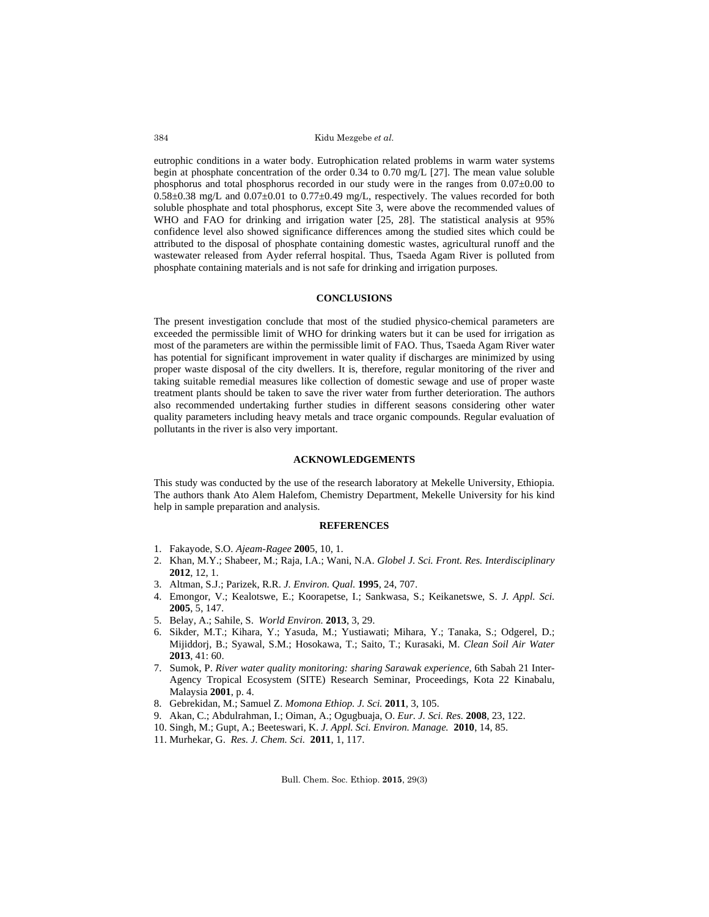eutrophic conditions in a water body. Eutrophication related problems in warm water systems begin at phosphate concentration of the order 0.34 to 0.70 mg/L [27]. The mean value soluble phosphorus and total phosphorus recorded in our study were in the ranges from 0.07±0.00 to 0.58±0.38 mg/L and 0.07±0.01 to 0.77±0.49 mg/L, respectively. The values recorded for both soluble phosphate and total phosphorus, except Site 3, were above the recommended values of WHO and FAO for drinking and irrigation water [25, 28]. The statistical analysis at 95% confidence level also showed significance differences among the studied sites which could be attributed to the disposal of phosphate containing domestic wastes, agricultural runoff and the wastewater released from Ayder referral hospital. Thus, Tsaeda Agam River is polluted from phosphate containing materials and is not safe for drinking and irrigation purposes.

## **CONCLUSIONS**

The present investigation conclude that most of the studied physico-chemical parameters are exceeded the permissible limit of WHO for drinking waters but it can be used for irrigation as most of the parameters are within the permissible limit of FAO. Thus, Tsaeda Agam River water has potential for significant improvement in water quality if discharges are minimized by using proper waste disposal of the city dwellers. It is, therefore, regular monitoring of the river and taking suitable remedial measures like collection of domestic sewage and use of proper waste treatment plants should be taken to save the river water from further deterioration. The authors also recommended undertaking further studies in different seasons considering other water quality parameters including heavy metals and trace organic compounds. Regular evaluation of pollutants in the river is also very important.

## **ACKNOWLEDGEMENTS**

This study was conducted by the use of the research laboratory at Mekelle University, Ethiopia. The authors thank Ato Alem Halefom, Chemistry Department, Mekelle University for his kind help in sample preparation and analysis.

## **REFERENCES**

- 1. Fakayode, S.O. *Ajeam-Ragee* **200**5, 10, 1.
- 2. Khan, M.Y.; Shabeer, M.; Raja, I.A.; Wani, N.A. *Globel J. Sci. Front. Res. Interdisciplinary* **2012**, 12, 1.
- 3. Altman, S.J.; Parizek, R.R. *J. Environ. Qual.* **1995**, 24, 707.
- 4. Emongor, V.; Kealotswe, E.; Koorapetse, I.; Sankwasa, S.; Keikanetswe, S. *J. Appl. Sci.* **2005**, 5, 147.
- 5. Belay, A.; Sahile, S. *World Environ.* **2013**, 3, 29.
- 6. Sikder, M.T.; Kihara, Y.; Yasuda, M.; Yustiawati; Mihara, Y.; Tanaka, S.; Odgerel, D.; Mijiddorj, B.; Syawal, S.M.; Hosokawa, T.; Saito, T.; Kurasaki, M. *Clean Soil Air Water* **2013**, 41: 60.
- 7. Sumok, P. *River water quality monitoring: sharing Sarawak experience*, 6th Sabah 21 Inter- Agency Tropical Ecosystem (SITE) Research Seminar, Proceedings, Kota 22 Kinabalu, Malaysia **2001**, p. 4.
- 8. Gebrekidan, M.; Samuel Z. *Momona Ethiop. J. Sci.* **2011**, 3, 105.
- 9. Akan, C.; Abdulrahman, I.; Oiman, A.; Ogugbuaja, O. *Eur. J. Sci. Res.* **2008**, 23, 122.
- 10. Singh, M.; Gupt, A.; Beeteswari, K. *J. Appl. Sci. Environ. Manage.* **2010**, 14, 85.
- 11. Murhekar, G. *Res. J. Chem. Sci.* **2011**, 1, 117.